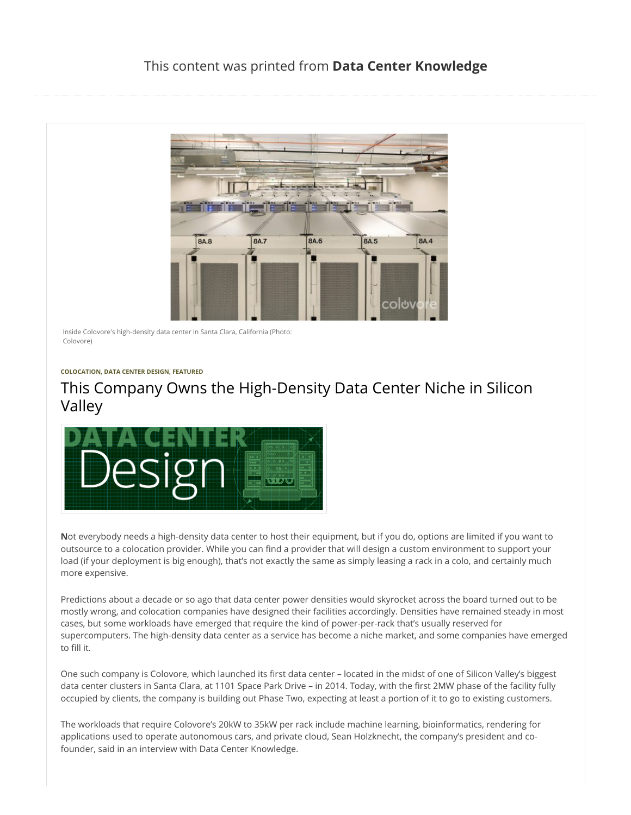

Inside Colovore's high-density data center in Santa Clara, California (Photo: Colovore)

## **[COLOCATION,](http://www.datacenterknowledge.com/archives/category/colocation/) [DATA CENTER DESIGN](http://www.datacenterknowledge.com/archives/category/infrastructure/data-center-design/), [FEATURED](http://www.datacenterknowledge.com/archives/category/featured/)**

## This Company Owns the High-Density Data Center Niche in Silicon Valley



**N**ot everybody needs a high-density data center to host their equipment, but if you do, options are limited if you want to outsource to a colocation provider. While you can find a provider that will design a custom environment to support your load (if your deployment is big enough), that's not exactly the same as simply leasing a rack in a colo, and certainly much more expensive.

Predictions about a decade or so ago that data center power densities would skyrocket across the board turned out to be mostly wrong, and colocation companies have designed their facilities accordingly. Densities have remained steady in most cases, but some workloads have emerged that require the kind of power-per-rack that's usually reserved for supercomputers. The high-density data center as a service has become a niche market, and some companies have emerged to fill it.

One such company is Colovore, which launched its first data center - located in the midst of one of Silicon Valley's biggest data center clusters in Santa Clara, at 1101 Space Park Drive – in 2014. Today, with the first 2MW phase of the facility fully occupied by clients, the company is building out Phase Two, expecting at least a portion of it to go to existing customers.

The workloads that require Colovore's 20kW to 35kW per rack include machine learning, bioinformatics, rendering for applications used to operate autonomous cars, and private cloud, Sean Holzknecht, the company's president and cofounder, said in an interview with Data Center Knowledge.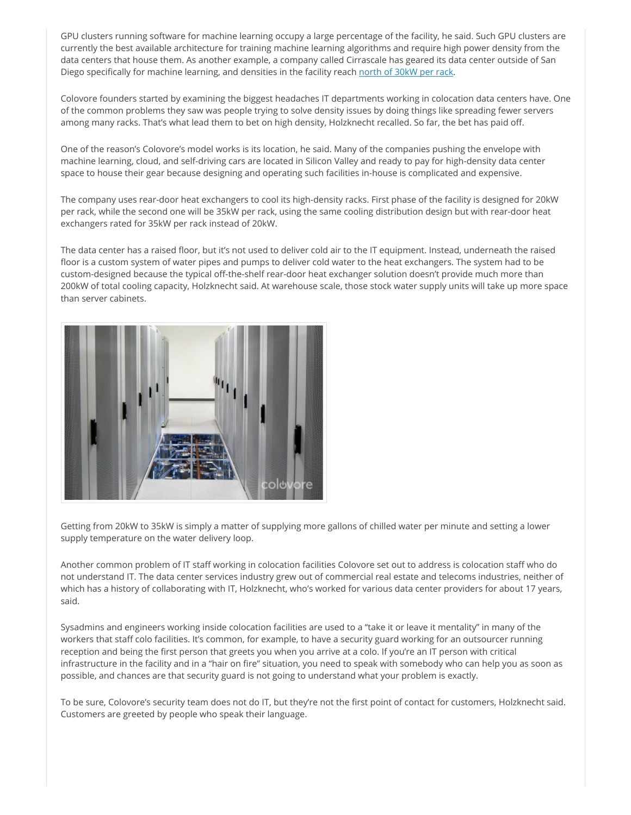GPU clusters running software for machine learning occupy a large percentage of the facility, he said. Such GPU clusters are currently the best available architecture for training machine learning algorithms and require high power density from the data centers that house them. As another example, a company called Cirrascale has geared its data center outside of San Diego specifically for machine learning, and densities in the facility reach [north of 30kW per rack.](http://www.datacenterknowledge.com/archives/2017/02/06/this-data-center-is-designed-for-deep-learning/)

Colovore founders started by examining the biggest headaches IT departments working in colocation data centers have. One of the common problems they saw was people trying to solve density issues by doing things like spreading fewer servers among many racks. That's what lead them to bet on high density, Holzknecht recalled. So far, the bet has paid off.

One of the reason's Colovore's model works is its location, he said. Many of the companies pushing the envelope with machine learning, cloud, and self-driving cars are located in Silicon Valley and ready to pay for high-density data center space to house their gear because designing and operating such facilities in-house is complicated and expensive.

The company uses rear-door heat exchangers to cool its high-density racks. First phase of the facility is designed for 20kW per rack, while the second one will be 35kW per rack, using the same cooling distribution design but with rear-door heat exchangers rated for 35kW per rack instead of 20kW.

The data center has a raised floor, but it's not used to deliver cold air to the IT equipment. Instead, underneath the raised floor is a custom system of water pipes and pumps to deliver cold water to the heat exchangers. The system had to be custom-designed because the typical off-the-shelf rear-door heat exchanger solution doesn't provide much more than 200kW of total cooling capacity, Holzknecht said. At warehouse scale, those stock water supply units will take up more space than server cabinets.



Getting from 20kW to 35kW is simply a matter of supplying more gallons of chilled water per minute and setting a lower supply temperature on the water delivery loop.

Another common problem of IT staff working in colocation facilities Colovore set out to address is colocation staff who do not understand IT. The data center services industry grew out of commercial real estate and telecoms industries, neither of which has a history of collaborating with IT, Holzknecht, who's worked for various data center providers for about 17 years, said.

Sysadmins and engineers working inside colocation facilities are used to a "take it or leave it mentality" in many of the workers that staff colo facilities. It's common, for example, to have a security guard working for an outsourcer running reception and being the first person that greets you when you arrive at a colo. If you're an IT person with critical infrastructure in the facility and in a "hair on fire" situation, you need to speak with somebody who can help you as soon as possible, and chances are that security guard is not going to understand what your problem is exactly.

To be sure, Colovore's security team does not do IT, but they're not the first point of contact for customers, Holzknecht said. Customers are greeted by people who speak their language.